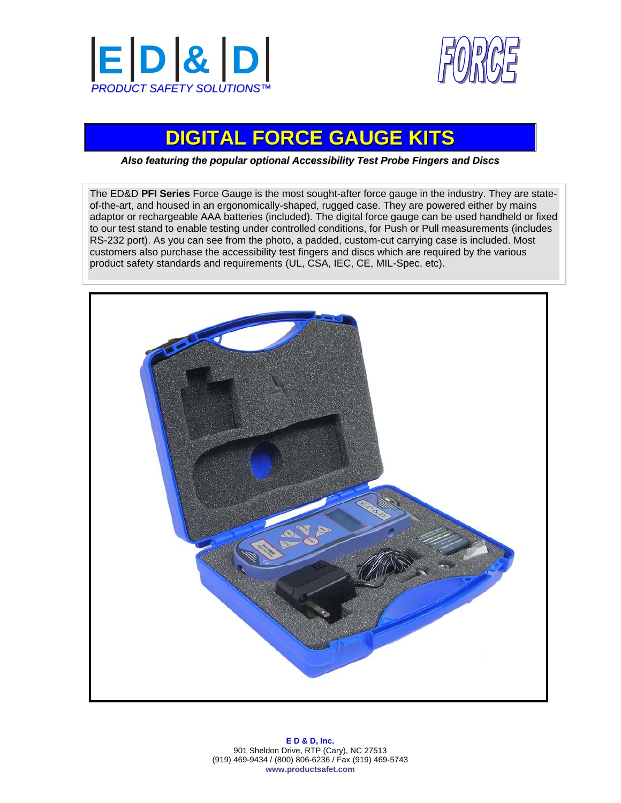



# **DIGITAL FORCE GAUGE KITS**

*Also featuring the popular optional Accessibility Test Probe Fingers and Discs*

The ED&D **PFI Series** Force Gauge is the most sought-after force gauge in the industry. They are stateof-the-art, and housed in an ergonomically-shaped, rugged case. They are powered either by mains adaptor or rechargeable AAA batteries (included). The digital force gauge can be used handheld or fixed to our test stand to enable testing under controlled conditions, for Push or Pull measurements (includes RS-232 port). As you can see from the photo, a padded, custom-cut carrying case is included. Most customers also purchase the accessibility test fingers and discs which are required by the various product safety standards and requirements (UL, CSA, IEC, CE, MIL-Spec, etc).



**E D & D, Inc.**  901 Sheldon Drive, RTP (Cary), NC 27513 (919) 469-9434 / (800) 806-6236 / Fax (919) 469-5743 **www.productsafet.com**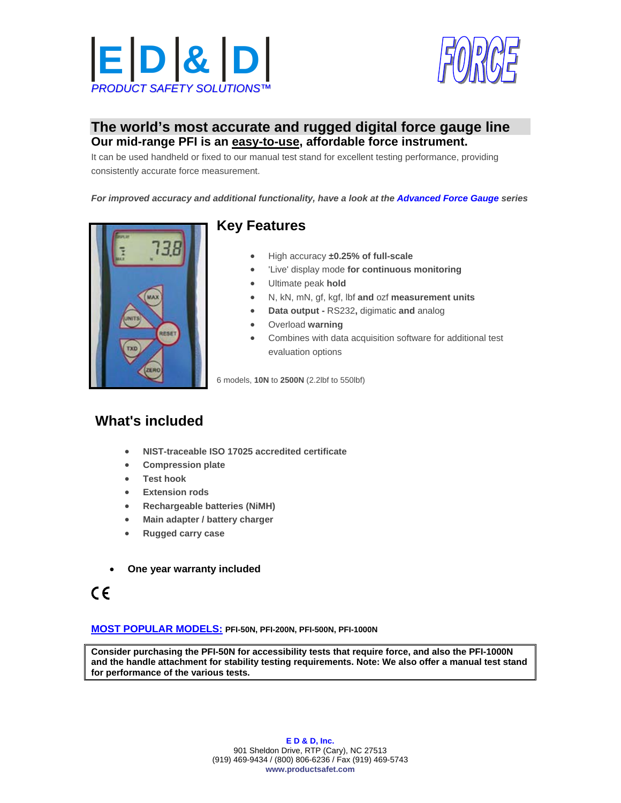



#### **The world's most accurate and rugged digital force gauge line Our mid-range PFI is an easy-to-use, affordable force instrument.**

It can be used handheld or fixed to our manual test stand for excellent testing performance, providing consistently accurate force measurement.

*For improved accuracy and additional functionality, have a look at the Advanced Force Gauge series*



### **Key Features**

- High accuracy **±0.25% of full-scale**
- 'Live' display mode **for continuous monitoring**
- Ultimate peak **hold**
- N, kN, mN, gf, kgf, lbf **and** ozf **measurement units**
- **Data output** RS232**,** digimatic **and** analog
- Overload **warning**
- Combines with data acquisition software for additional test evaluation options

6 models, **10N** to **2500N** (2.2lbf to 550lbf)

## **What's included**

- **NIST-traceable ISO 17025 accredited certificate**
- **Compression plate**
- **Test hook**
- **Extension rods**
- **Rechargeable batteries (NiMH)**
- **Main adapter / battery charger**
- **Rugged carry case**
- **One year warranty included**
- $\epsilon$

#### **MOST POPULAR MODELS: PFI-50N, PFI-200N, PFI-500N, PFI-1000N**

**Consider purchasing the PFI-50N for accessibility tests that require force, and also the PFI-1000N and the handle attachment for stability testing requirements. Note: We also offer a manual test stand for performance of the various tests.**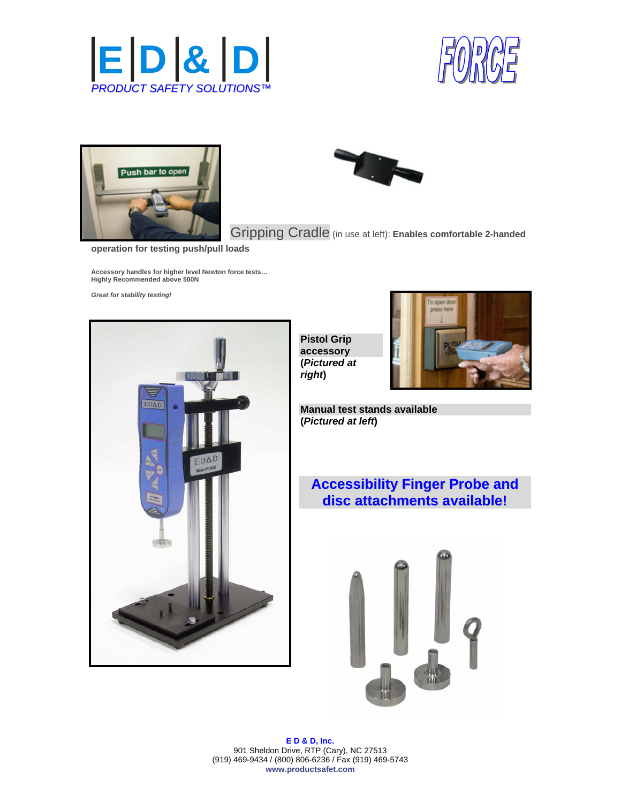







Gripping Cradle (in use at left): **Enables comfortable 2-handed** 

**operation for testing push/pull loads**

**Accessory handles for higher level Newton force tests… Highly Recommended above 500N** 

*Great for stability testing!* 



**Pistol Grip accessory (***Pictured at right***)** 



**Manual test stands available (***Pictured at left***)** 

**Accessibility Finger Probe and disc attachments available!**



**E D & D, Inc.**  901 Sheldon Drive, RTP (Cary), NC 27513 (919) 469-9434 / (800) 806-6236 / Fax (919) 469-5743 **www.productsafet.com**